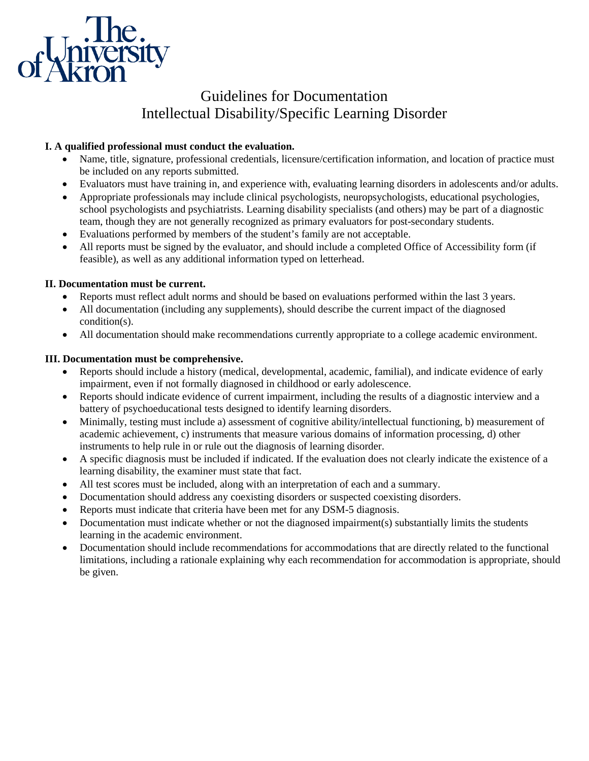

# Guidelines for Documentation Intellectual Disability/Specific Learning Disorder

## **I. A qualified professional must conduct the evaluation.**

- Name, title, signature, professional credentials, licensure/certification information, and location of practice must be included on any reports submitted.
- Evaluators must have training in, and experience with, evaluating learning disorders in adolescents and/or adults.
- Appropriate professionals may include clinical psychologists, neuropsychologists, educational psychologies, school psychologists and psychiatrists. Learning disability specialists (and others) may be part of a diagnostic team, though they are not generally recognized as primary evaluators for post-secondary students.
- Evaluations performed by members of the student's family are not acceptable.
- All reports must be signed by the evaluator, and should include a completed Office of Accessibility form (if feasible), as well as any additional information typed on letterhead.

## **II. Documentation must be current.**

- Reports must reflect adult norms and should be based on evaluations performed within the last 3 years.
- All documentation (including any supplements), should describe the current impact of the diagnosed condition(s).
- All documentation should make recommendations currently appropriate to a college academic environment.

### **III. Documentation must be comprehensive.**

- Reports should include a history (medical, developmental, academic, familial), and indicate evidence of early impairment, even if not formally diagnosed in childhood or early adolescence.
- Reports should indicate evidence of current impairment, including the results of a diagnostic interview and a battery of psychoeducational tests designed to identify learning disorders.
- Minimally, testing must include a) assessment of cognitive ability/intellectual functioning, b) measurement of academic achievement, c) instruments that measure various domains of information processing, d) other instruments to help rule in or rule out the diagnosis of learning disorder.
- A specific diagnosis must be included if indicated. If the evaluation does not clearly indicate the existence of a learning disability, the examiner must state that fact.
- All test scores must be included, along with an interpretation of each and a summary.
- Documentation should address any coexisting disorders or suspected coexisting disorders.
- Reports must indicate that criteria have been met for any DSM-5 diagnosis.
- Documentation must indicate whether or not the diagnosed impairment(s) substantially limits the students learning in the academic environment.
- Documentation should include recommendations for accommodations that are directly related to the functional limitations, including a rationale explaining why each recommendation for accommodation is appropriate, should be given.